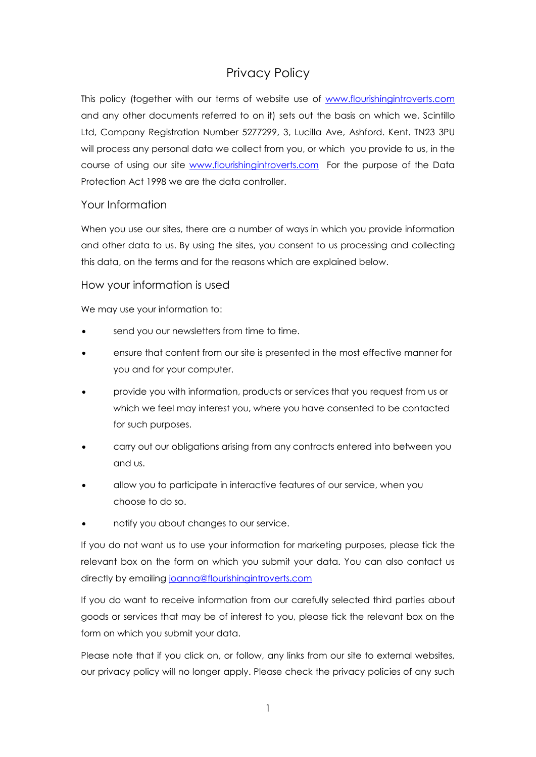# Privacy Policy

This policy (together with our terms of website use of [www.flourishingintroverts.com](http://www.flourishingintroverts.com/) and any other documents referred to on it) sets out the basis on which we, Scintillo Ltd, Company Registration Number 5277299, 3, Lucilla Ave, Ashford. Kent. TN23 3PU will process any personal data we collect from you, or which you provide to us, in the course of using our site [www.flourishingintroverts.com](http://www.flourishingintroverts.com/) For the purpose of the Data Protection Act 1998 we are the data controller.

### Your Information

When you use our sites, there are a number of ways in which you provide information and other data to us. By using the sites, you consent to us processing and collecting this data, on the terms and for the reasons which are explained below.

#### How your information is used

We may use your information to:

- send you our newsletters from time to time.
- ensure that content from our site is presented in the most effective manner for you and for your computer.
- provide you with information, products or services that you request from us or which we feel may interest you, where you have consented to be contacted for such purposes.
- carry out our obligations arising from any contracts entered into between you and us.
- allow you to participate in interactive features of our service, when you choose to do so.
- notify you about changes to our service.

If you do not want us to use your information for marketing purposes, please tick the relevant box on the form on which you submit your data. You can also contact us directly by emailing [joanna@flourishingintroverts.com](mailto:joanna@flourishingintroverts.com)

If you do want to receive information from our carefully selected third parties about goods or services that may be of interest to you, please tick the relevant box on the form on which you submit your data.

Please note that if you click on, or follow, any links from our site to external websites, our privacy policy will no longer apply. Please check the privacy policies of any such